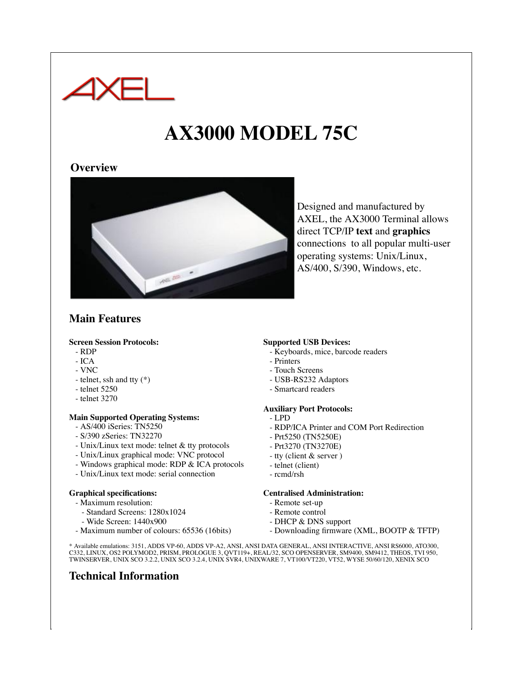

# **AX3000 MODEL 75C**

## **Overview**



Designed and manufactured by AXEL, the AX3000 Terminal allows direct TCP/IP **text** and **graphics** connections to all popular multi-user operating systems: Unix/Linux, AS/400, S/390, Windows, etc.

# **Main Features**

#### **Screen Session Protocols:**

- RDP
- ICA
- VNC
- telnet, ssh and tty (\*)
- telnet 5250
- telnet 3270

## **Main Supported Operating Systems:**

- AS/400 iSeries: TN5250
- S/390 zSeries: TN32270
- Unix/Linux text mode: telnet & tty protocols
- Unix/Linux graphical mode: VNC protocol
- Windows graphical mode: RDP & ICA protocols
- Unix/Linux text mode: serial connection

#### **Graphical specifications:**

- Maximum resolution:
	- Standard Screens: 1280x1024
	- Wide Screen: 1440x900
- Maximum number of colours: 65536 (16bits)

## **Supported USB Devices:**

- Keyboards, mice, barcode readers
- Printers
- Touch Screens
- USB-RS232 Adaptors
- Smartcard readers

## **Auxiliary Port Protocols:**

- LPD
- RDP/ICA Printer and COM Port Redirection
- Prt5250 (TN5250E)
- Prt3270 (TN3270E)
- tty (client & server )
- telnet (client)
- rcmd/rsh

#### **Centralised Administration:**

- Remote set-up
- Remote control
- DHCP & DNS support
- Downloading firmware (XML, BOOTP & TFTP)

\* Available emulations: 3151, ADDS VP-60, ADDS VP-A2, ANSI, ANSI DATA GENERAL, ANSI INTERACTIVE, ANSI RS6000, ATO300, C332, LINUX, OS2 POLYMOD2, PRISM, PROLOGUE 3, QVT119+, REAL/32, SCO OPENSERVER, SM9400, SM9412, THEOS, TVI 950, TWINSERVER, UNIX SCO 3.2.2, UNIX SCO 3.2.4, UNIX SVR4, UNIXWARE 7, VT100/VT220, VT52, WYSE 50/60/120, XENIX SCO

# **Technical Information**